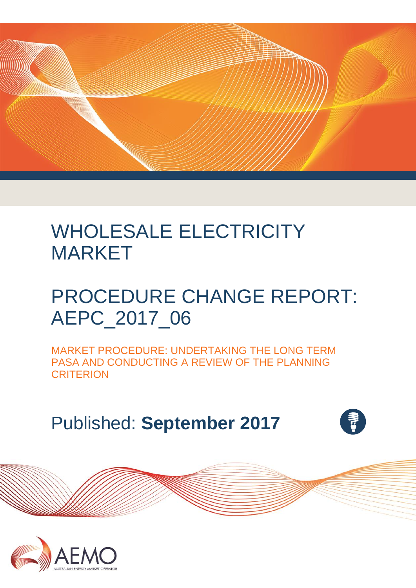

# WHOLESALE ELECTRICITY MARKET

# PROCEDURE CHANGE REPORT: AEPC\_2017\_06

MARKET PROCEDURE: UNDERTAKING THE LONG TERM PASA AND CONDUCTING A REVIEW OF THE PLANNING **CRITERION** 

Published: **September 2017**



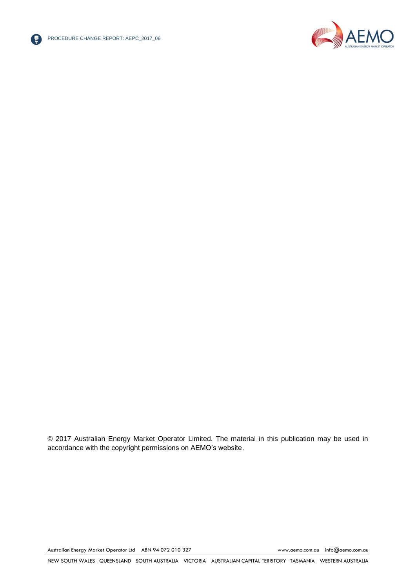



© 2017 Australian Energy Market Operator Limited. The material in this publication may be used in accordance with the [copyright permissions on AEMO's website.](http://aemo.com.au/Privacy_and_Legal_Notices/Copyright_Permissions_Notice)

Australian Energy Market Operator Ltd ABN 94 072 010 327 [www.aemo.com.au](http://www.aemo.com.au/) [info@aemo.com.au](mailto:info@aemo.com.au)

NEW SOUTH WALES QUEENSLAND SOUTH AUSTRALIA VICTORIA AUSTRALIAN CAPITAL TERRITORY TASMANIA WESTERN AUSTRALIA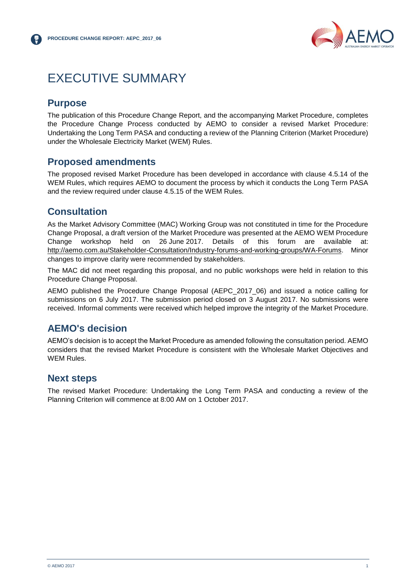

# <span id="page-2-0"></span>EXECUTIVE SUMMARY

#### <span id="page-2-1"></span>**Purpose**

The publication of this Procedure Change Report, and the accompanying Market Procedure, completes the Procedure Change Process conducted by AEMO to consider a revised Market Procedure: Undertaking the Long Term PASA and conducting a review of the Planning Criterion (Market Procedure) under the Wholesale Electricity Market (WEM) Rules.

#### <span id="page-2-2"></span>**Proposed amendments**

The proposed revised Market Procedure has been developed in accordance with clause 4.5.14 of the WEM Rules, which requires AEMO to document the process by which it conducts the Long Term PASA and the review required under clause 4.5.15 of the WEM Rules.

## <span id="page-2-3"></span>**Consultation**

As the Market Advisory Committee (MAC) Working Group was not constituted in time for the Procedure Change Proposal, a draft version of the Market Procedure was presented at the AEMO WEM Procedure Change workshop held on 26 June 2017. Details of this forum are available at: [http://aemo.com.au/Stakeholder-Consultation/Industry-forums-and-working-groups/WA-Forums.](http://aemo.com.au/Stakeholder-Consultation/Industry-forums-and-working-groups/WA-Forums) Minor changes to improve clarity were recommended by stakeholders.

The MAC did not meet regarding this proposal, and no public workshops were held in relation to this Procedure Change Proposal.

AEMO published the Procedure Change Proposal (AEPC\_2017\_06) and issued a notice calling for submissions on 6 July 2017. The submission period closed on 3 August 2017. No submissions were received. Informal comments were received which helped improve the integrity of the Market Procedure.

## <span id="page-2-4"></span>**AEMO's decision**

AEMO's decision is to accept the Market Procedure as amended following the consultation period. AEMO considers that the revised Market Procedure is consistent with the Wholesale Market Objectives and WEM Rules.

#### <span id="page-2-5"></span>**Next steps**

The revised Market Procedure: Undertaking the Long Term PASA and conducting a review of the Planning Criterion will commence at 8:00 AM on 1 October 2017.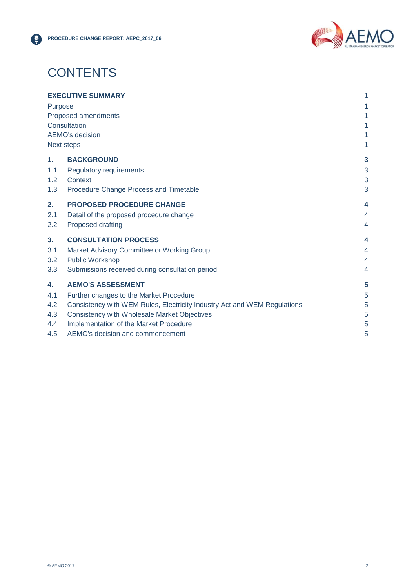

# **CONTENTS**

| <b>EXECUTIVE SUMMARY</b><br><b>Purpose</b><br>Proposed amendments<br>Consultation<br><b>AEMO's decision</b><br><b>Next steps</b> |                                                                          | 1                |
|----------------------------------------------------------------------------------------------------------------------------------|--------------------------------------------------------------------------|------------------|
|                                                                                                                                  |                                                                          | 1                |
|                                                                                                                                  |                                                                          | 1<br>1<br>1<br>1 |
| 1 <sub>1</sub>                                                                                                                   | <b>BACKGROUND</b>                                                        | 3                |
| 1.1<br>1.2                                                                                                                       | Regulatory requirements<br>Context                                       | 3<br>3           |
| 1.3                                                                                                                              | Procedure Change Process and Timetable                                   | 3                |
| 2.                                                                                                                               | <b>PROPOSED PROCEDURE CHANGE</b>                                         | 4                |
| 2.1                                                                                                                              | Detail of the proposed procedure change                                  | 4                |
| 2.2                                                                                                                              | Proposed drafting                                                        | 4                |
| 3.                                                                                                                               | <b>CONSULTATION PROCESS</b>                                              | 4                |
| 3.1                                                                                                                              | Market Advisory Committee or Working Group                               | 4                |
| 3.2                                                                                                                              | <b>Public Workshop</b>                                                   | 4                |
| 3.3                                                                                                                              | Submissions received during consultation period                          | 4                |
| 4.                                                                                                                               | <b>AEMO'S ASSESSMENT</b>                                                 | 5                |
| 4.1                                                                                                                              | Further changes to the Market Procedure                                  | 5                |
| 4.2                                                                                                                              | Consistency with WEM Rules, Electricity Industry Act and WEM Regulations | 5                |
| 4.3                                                                                                                              | Consistency with Wholesale Market Objectives                             | 5                |
| 4.4                                                                                                                              | Implementation of the Market Procedure                                   | 5                |
| 4.5                                                                                                                              | AEMO's decision and commencement                                         | 5                |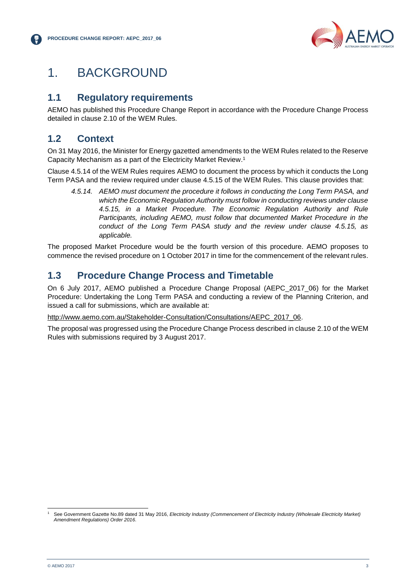

# <span id="page-4-0"></span>1. BACKGROUND

## <span id="page-4-1"></span>**1.1 Regulatory requirements**

AEMO has published this Procedure Change Report in accordance with the Procedure Change Process detailed in clause 2.10 of the WEM Rules.

# <span id="page-4-2"></span>**1.2 Context**

On 31 May 2016, the Minister for Energy gazetted amendments to the WEM Rules related to the Reserve Capacity Mechanism as a part of the Electricity Market Review. 1

Clause 4.5.14 of the WEM Rules requires AEMO to document the process by which it conducts the Long Term PASA and the review required under clause 4.5.15 of the WEM Rules. This clause provides that:

*4.5.14. AEMO must document the procedure it follows in conducting the Long Term PASA, and which the Economic Regulation Authority must follow in conducting reviews under clause 4.5.15, in a Market Procedure. The Economic Regulation Authority and Rule Participants, including AEMO, must follow that documented Market Procedure in the conduct of the Long Term PASA study and the review under clause 4.5.15, as applicable.*

The proposed Market Procedure would be the fourth version of this procedure. AEMO proposes to commence the revised procedure on 1 October 2017 in time for the commencement of the relevant rules.

## <span id="page-4-3"></span>**1.3 Procedure Change Process and Timetable**

On 6 July 2017, AEMO published a Procedure Change Proposal (AEPC\_2017\_06) for the Market Procedure: Undertaking the Long Term PASA and conducting a review of the Planning Criterion, and issued a call for submissions, which are available at:

[http://www.aemo.com.au/Stakeholder-Consultation/Consultations/AEPC\\_2017\\_06.](http://www.aemo.com.au/Stakeholder-Consultation/Consultations/AEPC_2017_06)

The proposal was progressed using the Procedure Change Process described in clause 2.10 of the WEM Rules with submissions required by 3 August 2017.

l <sup>1</sup> See Government Gazette No.89 dated 31 May 2016, *Electricity Industry (Commencement of Electricity Industry (Wholesale Electricity Market) Amendment Regulations) Order 2016*.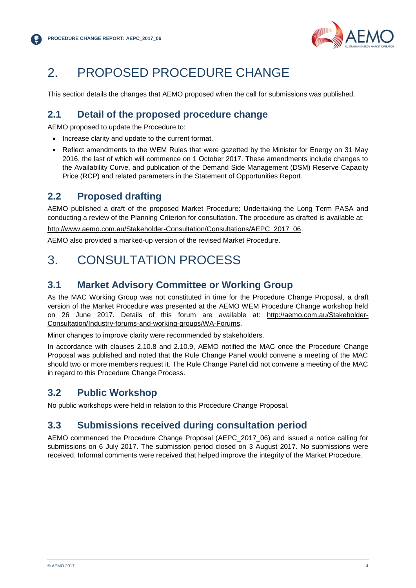

# <span id="page-5-0"></span>2. PROPOSED PROCEDURE CHANGE

This section details the changes that AEMO proposed when the call for submissions was published.

## <span id="page-5-1"></span>**2.1 Detail of the proposed procedure change**

AEMO proposed to update the Procedure to:

- Increase clarity and update to the current format.
- Reflect amendments to the WEM Rules that were gazetted by the Minister for Energy on 31 May 2016, the last of which will commence on 1 October 2017. These amendments include changes to the Availability Curve, and publication of the Demand Side Management (DSM) Reserve Capacity Price (RCP) and related parameters in the Statement of Opportunities Report.

#### <span id="page-5-2"></span>**2.2 Proposed drafting**

AEMO published a draft of the proposed Market Procedure: Undertaking the Long Term PASA and conducting a review of the Planning Criterion for consultation. The procedure as drafted is available at:

[http://www.aemo.com.au/Stakeholder-Consultation/Consultations/AEPC\\_2017\\_06.](http://www.aemo.com.au/Stakeholder-Consultation/Consultations/AEPC_2017_06)

AEMO also provided a marked-up version of the revised Market Procedure.

# <span id="page-5-3"></span>3. CONSULTATION PROCESS

#### <span id="page-5-4"></span>**3.1 Market Advisory Committee or Working Group**

As the MAC Working Group was not constituted in time for the Procedure Change Proposal, a draft version of the Market Procedure was presented at the AEMO WEM Procedure Change workshop held on 26 June 2017. Details of this forum are available at: [http://aemo.com.au/Stakeholder-](http://aemo.com.au/Stakeholder-Consultation/Industry-forums-and-working-groups/WA-Forums)[Consultation/Industry-forums-and-working-groups/WA-Forums.](http://aemo.com.au/Stakeholder-Consultation/Industry-forums-and-working-groups/WA-Forums)

Minor changes to improve clarity were recommended by stakeholders.

In accordance with clauses 2.10.8 and 2.10.9, AEMO notified the MAC once the Procedure Change Proposal was published and noted that the Rule Change Panel would convene a meeting of the MAC should two or more members request it. The Rule Change Panel did not convene a meeting of the MAC in regard to this Procedure Change Process.

## <span id="page-5-5"></span>**3.2 Public Workshop**

No public workshops were held in relation to this Procedure Change Proposal.

#### <span id="page-5-6"></span>**3.3 Submissions received during consultation period**

AEMO commenced the Procedure Change Proposal (AEPC\_2017\_06) and issued a notice calling for submissions on 6 July 2017. The submission period closed on 3 August 2017. No submissions were received. Informal comments were received that helped improve the integrity of the Market Procedure.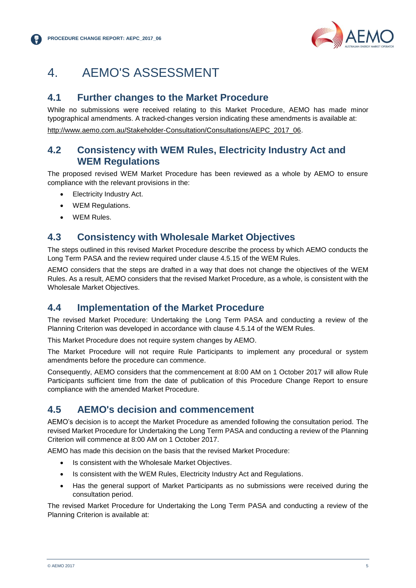

# <span id="page-6-0"></span>4. AEMO'S ASSESSMENT

#### <span id="page-6-1"></span>**4.1 Further changes to the Market Procedure**

While no submissions were received relating to this Market Procedure, AEMO has made minor typographical amendments. A tracked-changes version indicating these amendments is available at: [http://www.aemo.com.au/Stakeholder-Consultation/Consultations/AEPC\\_2017\\_06.](http://www.aemo.com.au/Stakeholder-Consultation/Consultations/AEPC_2017_06)

#### <span id="page-6-2"></span>**4.2 Consistency with WEM Rules, Electricity Industry Act and WEM Regulations**

The proposed revised WEM Market Procedure has been reviewed as a whole by AEMO to ensure compliance with the relevant provisions in the:

- Electricity Industry Act.
- WEM Regulations.
- WEM Rules.

### <span id="page-6-3"></span>**4.3 Consistency with Wholesale Market Objectives**

The steps outlined in this revised Market Procedure describe the process by which AEMO conducts the Long Term PASA and the review required under clause 4.5.15 of the WEM Rules.

AEMO considers that the steps are drafted in a way that does not change the objectives of the WEM Rules. As a result, AEMO considers that the revised Market Procedure, as a whole, is consistent with the Wholesale Market Objectives.

#### <span id="page-6-4"></span>**4.4 Implementation of the Market Procedure**

The revised Market Procedure: Undertaking the Long Term PASA and conducting a review of the Planning Criterion was developed in accordance with clause 4.5.14 of the WEM Rules.

This Market Procedure does not require system changes by AEMO.

The Market Procedure will not require Rule Participants to implement any procedural or system amendments before the procedure can commence.

Consequently, AEMO considers that the commencement at 8:00 AM on 1 October 2017 will allow Rule Participants sufficient time from the date of publication of this Procedure Change Report to ensure compliance with the amended Market Procedure.

## <span id="page-6-5"></span>**4.5 AEMO's decision and commencement**

AEMO's decision is to accept the Market Procedure as amended following the consultation period. The revised Market Procedure for Undertaking the Long Term PASA and conducting a review of the Planning Criterion will commence at 8:00 AM on 1 October 2017.

AEMO has made this decision on the basis that the revised Market Procedure:

- Is consistent with the Wholesale Market Objectives.
- Is consistent with the WEM Rules, Electricity Industry Act and Regulations.
- Has the general support of Market Participants as no submissions were received during the consultation period.

The revised Market Procedure for Undertaking the Long Term PASA and conducting a review of the Planning Criterion is available at: